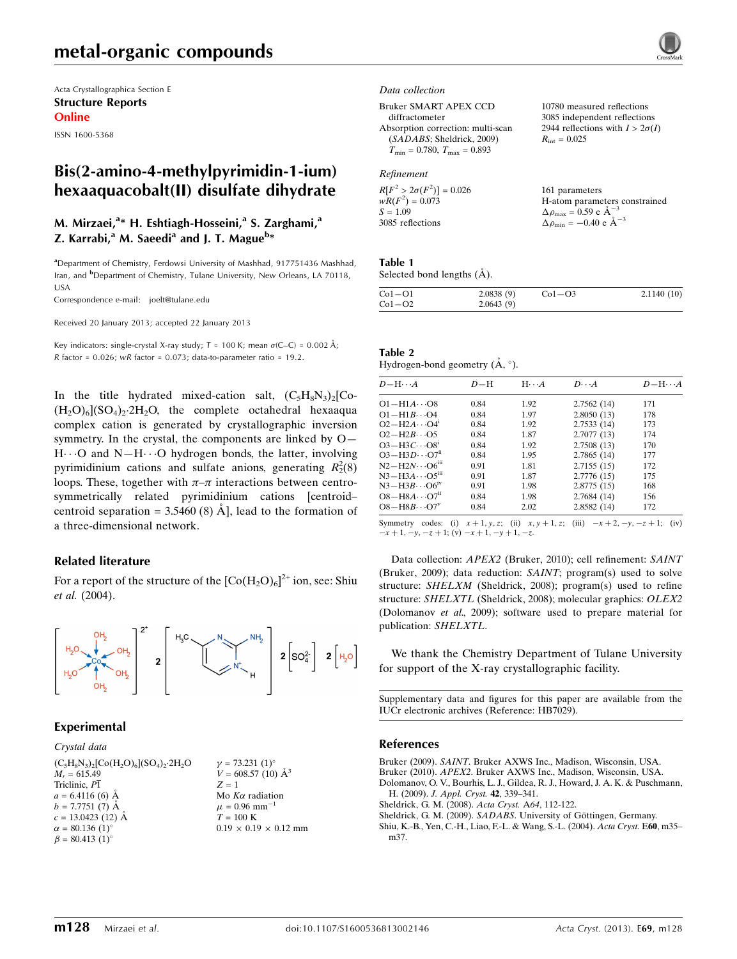# metal-organic compounds

Acta Crystallographica Section E Structure Reports Online

ISSN 1600-5368

# Bis(2-amino-4-methylpyrimidin-1-ium) hexaaquacobalt(II) disulfate dihydrate

## M. Mirzaei,<sup>a</sup>\* H. Eshtiagh-Hosseini,<sup>a</sup> S. Zarghami,<sup>a</sup> Z. Karrabi,<sup>a</sup> M. Saeedi<sup>a</sup> and J. T. Mague<sup>b</sup>\*

<sup>a</sup>Department of Chemistry, Ferdowsi University of Mashhad, 917751436 Mashhad, Iran, and <sup>b</sup>Department of Chemistry, Tulane University, New Orleans, LA 70118, USA

Correspondence e-mail: [joelt@tulane.edu](https://scripts.iucr.org/cgi-bin/cr.cgi?rm=pdfbb&cnor=hb7029&bbid=BB6)

Received 20 January 2013; accepted 22 January 2013

Key indicators: single-crystal X-ray study;  $T = 100$  K; mean  $\sigma$ (C–C) = 0.002 Å; R factor =  $0.026$ ; wR factor =  $0.073$ ; data-to-parameter ratio = 19.2.

In the title hydrated mixed-cation salt,  $(C_5H_8N_3)_2[C_0 (H_2O)_6[(SO_4)_2.2H_2O,$  the complete octahedral hexaaqua complex cation is generated by crystallographic inversion symmetry. In the crystal, the components are linked by O— H $\cdots$ O and N-H $\cdots$ O hydrogen bonds, the latter, involving pyrimidinium cations and sulfate anions, generating  $R_2^2(8)$ loops. These, together with  $\pi-\pi$  interactions between centrosymmetrically related pyrimidinium cations [centroid– centroid separation =  $3.5460(8)$  Å], lead to the formation of a three-dimensional network.

#### Related literature

For a report of the structure of the  $\rm [Co(H_2O)_6]^{2+}$  ion, see: Shiu et al. (2004).



#### Experimental

 $\beta = 80.413$  (1)<sup>o</sup>

#### Crystal data  $(C_5H_8N_3)_2[Co(H_2O)_6](SO_4)_2.2H_2O$  $M_r = 615.49$ Triclinic,  $\overline{P1}$  $a = 6.4116(6)$  Å  $b = 7.7751(7)$  Å  $c = 13.0423$  (12) Å  $\alpha = 80.136(1)$ °

 $\gamma = 73.231 \ (1)^{\circ}$  $V = 608.57(10)$   $\AA^3$  $Z = 1$ Mo  $K\alpha$  radiation  $\mu$  = 0.96 mm<sup>-1</sup>  $T = 100 K$  $0.19 \times 0.19 \times 0.12$  mm

#### Data collection

Bruker SMART APEX CCD diffractometer Absorption correction: multi-scan (SADABS; Sheldrick, 2009)  $T_{\text{min}} = 0.780, T_{\text{max}} = 0.893$ 

#### Refinement

| $R[F^2 > 2\sigma(F^2)] = 0.026$ | 161 parameters                                      |
|---------------------------------|-----------------------------------------------------|
| $wR(F^2) = 0.073$               | H-atom parameters constrained                       |
| $S = 1.09$                      | $\Delta \rho_{\text{max}} = 0.59 \text{ e A}^{-3}$  |
| 3085 reflections                | $\Delta \rho_{\text{min}} = -0.40 \text{ e A}^{-3}$ |

10780 measured reflections 3085 independent reflections 2944 reflections with  $I > 2\sigma(I)$ 

 $R_{\text{int}} = 0.025$ 

Table 1

Selected bond lengths  $(\AA)$ .

| $Co1-O1$ | 2.0838(9) | $Co1-O3$ | 2.1140(10) |
|----------|-----------|----------|------------|
| $Co1-O2$ | 2.0643(9) |          |            |

| Table 2                                   |  |  |
|-------------------------------------------|--|--|
| Hydrogen-bond geometry $(\AA, \degree)$ . |  |  |

| $D - H \cdots A$                    | $D-H$ | $H \cdot \cdot \cdot A$ | $D\cdots A$ | $D - H \cdots A$ |
|-------------------------------------|-------|-------------------------|-------------|------------------|
| $O1 - H1A \cdots O8$                | 0.84  | 1.92                    |             | 171              |
|                                     |       |                         | 2.7562(14)  |                  |
| $O1 - H1B \cdots O4$                | 0.84  | 1.97                    | 2.8050(13)  | 178              |
| $O2 - H2A \cdots O4$ <sup>1</sup>   | 0.84  | 1.92                    | 2.7533(14)  | 173              |
| $O2-H2B\cdots$ O5                   | 0.84  | 1.87                    | 2.7077(13)  | 174              |
| $O3-H3C\cdots O8^i$                 | 0.84  | 1.92                    | 2.7508 (13) | 170              |
| $O3 - H3D \cdots O7n$               | 0.84  | 1.95                    | 2.7865(14)  | 177              |
| $N2-H2N\cdots$ O6 <sup>iii</sup>    | 0.91  | 1.81                    | 2.7155(15)  | 172              |
| $N3 - H3A \cdots O5$ <sup>iii</sup> | 0.91  | 1.87                    | 2.7776 (15) | 175              |
| $N3-H3B\cdots$ O6 <sup>iv</sup>     | 0.91  | 1.98                    | 2.8775(15)  | 168              |
| $O8 - H8A \cdots O7$ <sup>ii</sup>  | 0.84  | 1.98                    | 2.7684(14)  | 156              |
| $OS - H8B \cdots O7^V$              | 0.84  | 2.02                    | 2.8582(14)  | 172              |

Symmetry codes: (i)  $x + 1, y, z$ ; (ii)  $x, y + 1, z$ ; (iii)  $-x + 2, -y, -z + 1$ ; (iv)  $-x + 1, -y, -z + 1$ ; (v)  $-x + 1, -y + 1, -z$ .

Data collection: APEX2 (Bruker, 2010); cell refinement: SAINT (Bruker, 2009); data reduction: SAINT; program(s) used to solve structure: SHELXM (Sheldrick, 2008); program(s) used to refine structure: SHELXTL (Sheldrick, 2008); molecular graphics: OLEX2 (Dolomanov et al., 2009); software used to prepare material for publication: SHELXTL.

We thank the Chemistry Department of Tulane University for support of the X-ray crystallographic facility.

Supplementary data and figures for this paper are available from the IUCr electronic archives (Reference: HB7029).

#### References

Bruker (2009). SAINT[. Bruker AXWS Inc., Madison, Wisconsin, USA.](https://scripts.iucr.org/cgi-bin/cr.cgi?rm=pdfbb&cnor=hb7029&bbid=BB1) Bruker (2010). APEX2[. Bruker AXWS Inc., Madison, Wisconsin, USA.](https://scripts.iucr.org/cgi-bin/cr.cgi?rm=pdfbb&cnor=hb7029&bbid=BB2) [Dolomanov, O. V., Bourhis, L. J., Gildea, R. J., Howard, J. A. K. & Puschmann,](https://scripts.iucr.org/cgi-bin/cr.cgi?rm=pdfbb&cnor=hb7029&bbid=BB3) H. (2009). [J. Appl. Cryst.](https://scripts.iucr.org/cgi-bin/cr.cgi?rm=pdfbb&cnor=hb7029&bbid=BB3) 42, 339–341. [Sheldrick, G. M. \(2008\).](https://scripts.iucr.org/cgi-bin/cr.cgi?rm=pdfbb&cnor=hb7029&bbid=BB4) Acta Cryst. A64, 112-122.

Sheldrick, G. M. (2009). SADABS. University of Göttingen, Germany.

[Shiu, K.-B., Yen, C.-H., Liao, F.-L. & Wang, S.-L. \(2004\).](https://scripts.iucr.org/cgi-bin/cr.cgi?rm=pdfbb&cnor=hb7029&bbid=BB6) Acta Cryst. E60, m35– [m37.](https://scripts.iucr.org/cgi-bin/cr.cgi?rm=pdfbb&cnor=hb7029&bbid=BB6)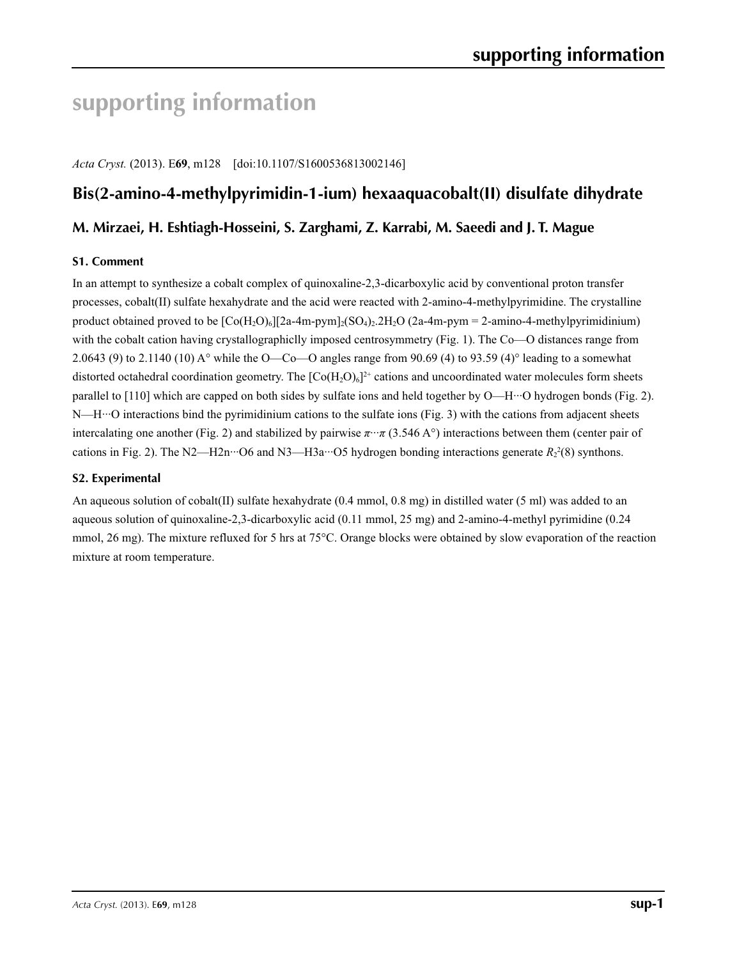# **supporting information**

*Acta Cryst.* (2013). E**69**, m128 [doi:10.1107/S1600536813002146]

# **Bis(2-amino-4-methylpyrimidin-1-ium) hexaaquacobalt(II) disulfate dihydrate**

## **M. Mirzaei, H. Eshtiagh-Hosseini, S. Zarghami, Z. Karrabi, M. Saeedi and J. T. Mague**

## **S1. Comment**

In an attempt to synthesize a cobalt complex of quinoxaline-2,3-dicarboxylic acid by conventional proton transfer processes, cobalt(II) sulfate hexahydrate and the acid were reacted with 2-amino-4-methylpyrimidine. The crystalline product obtained proved to be  $\lceil Co(H_2O)_6 \rceil$  [2a-4m-pym]<sub>2</sub>(SO<sub>4</sub>)<sub>2</sub>.2H<sub>2</sub>O (2a-4m-pym = 2-amino-4-methylpyrimidinium) with the cobalt cation having crystallographiclly imposed centrosymmetry (Fig. 1). The Co—O distances range from 2.0643 (9) to 2.1140 (10) A° while the O—Co—O angles range from 90.69 (4) to 93.59 (4)° leading to a somewhat distorted octahedral coordination geometry. The  $[Co(H_2O)_6]^2$  cations and uncoordinated water molecules form sheets parallel to [110] which are capped on both sides by sulfate ions and held together by O—H···O hydrogen bonds (Fig. 2). N—H···O interactions bind the pyrimidinium cations to the sulfate ions (Fig. 3) with the cations from adjacent sheets intercalating one another (Fig. 2) and stabilized by pairwise  $\pi \cdot \pi$  (3.546 A°) interactions between them (center pair of cations in Fig. 2). The N2—H2n<sup> $\cdots$ </sup>O6 and N3—H3a $\cdots$ O5 hydrogen bonding interactions generate  $R_2^2(8)$  synthons.

### **S2. Experimental**

An aqueous solution of cobalt(II) sulfate hexahydrate (0.4 mmol, 0.8 mg) in distilled water (5 ml) was added to an aqueous solution of quinoxaline-2,3-dicarboxylic acid (0.11 mmol, 25 mg) and 2-amino-4-methyl pyrimidine (0.24 mmol, 26 mg). The mixture refluxed for 5 hrs at 75°C. Orange blocks were obtained by slow evaporation of the reaction mixture at room temperature.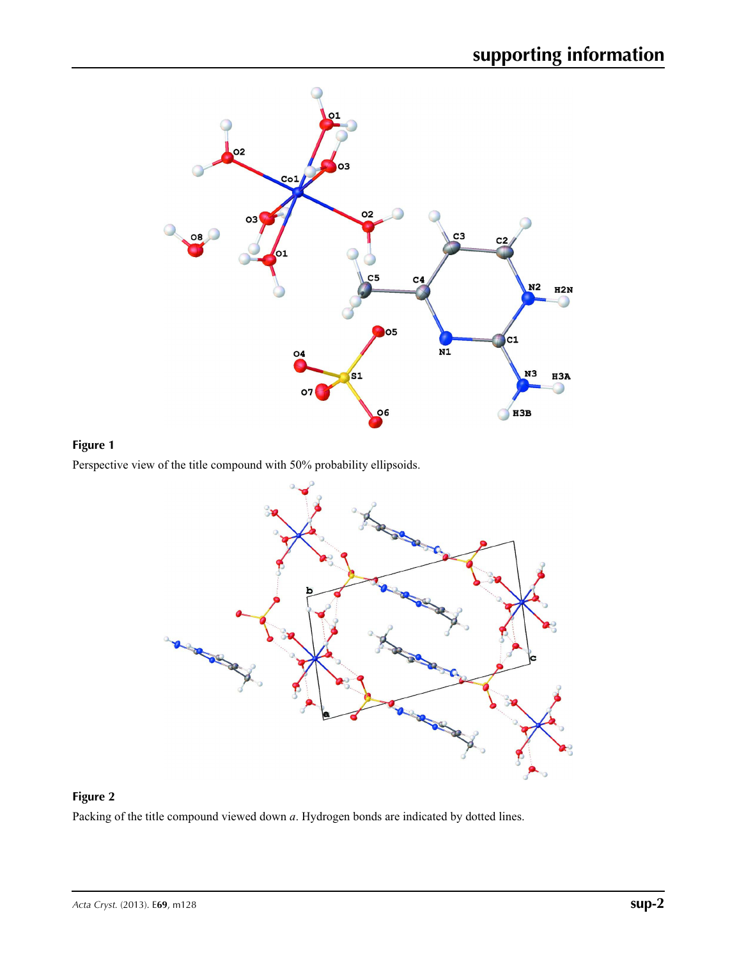

## **Figure 1**





# **Figure 2**

Packing of the title compound viewed down *a*. Hydrogen bonds are indicated by dotted lines.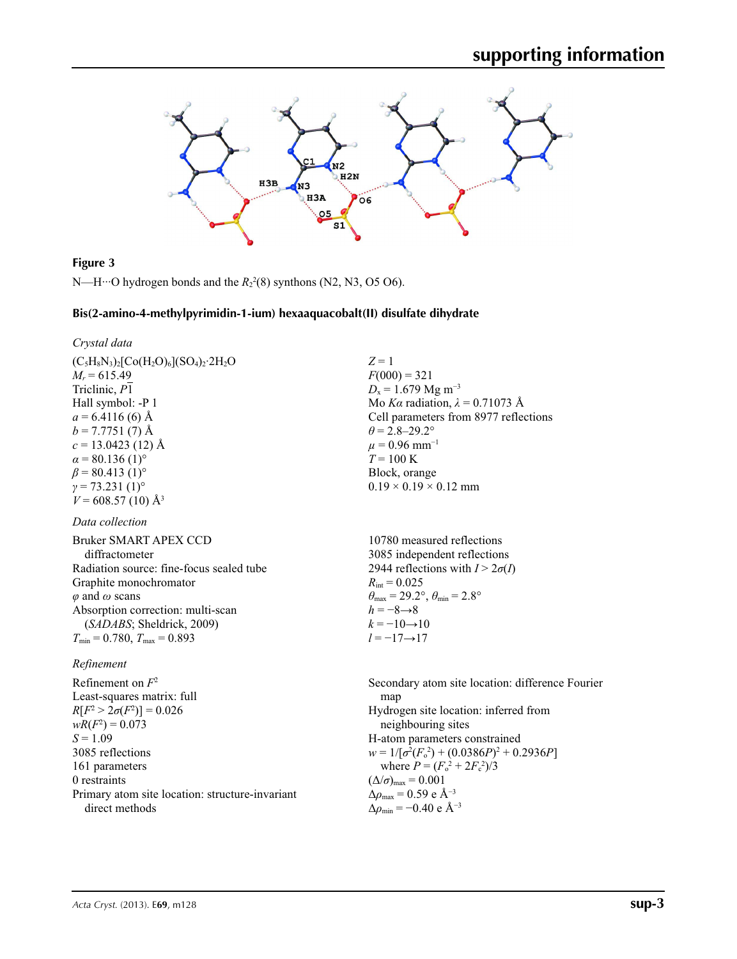

### **Figure 3**

 $N$ —H…O hydrogen bonds and the  $R_2^2(8)$  synthons (N2, N3, O5 O6).

### **Bis(2-amino-4-methylpyrimidin-1-ium) hexaaquacobalt(II) disulfate dihydrate**

### *Crystal data*

 $(C_5H_8N_3)_2[Co(H_2O)_6](SO_4)_2.2H_2O$  $M_r = 615.49$ Triclinic, *P*1 Hall symbol: -P 1  $a = 6.4116(6)$  Å  $b = 7.7751(7)$  Å *c* = 13.0423 (12) Å  $\alpha$  = 80.136 (1)<sup>o</sup>  $\beta$  = 80.413 (1)<sup>o</sup>  $\gamma$  = 73.231 (1)<sup>o</sup>  $V = 608.57(10)$  Å<sup>3</sup>

### *Data collection*

Bruker SMART APEX CCD diffractometer Radiation source: fine-focus sealed tube Graphite monochromator  $\varphi$  and  $\omega$  scans Absorption correction: multi-scan (*SADABS*; Sheldrick, 2009)  $T_{\text{min}} = 0.780, T_{\text{max}} = 0.893$ 

### *Refinement*

Refinement on *F*<sup>2</sup> Least-squares matrix: full  $R[F^2 > 2\sigma(F^2)] = 0.026$  $wR(F^2) = 0.073$  $S = 1.09$ 3085 reflections 161 parameters 0 restraints Primary atom site location: structure-invariant direct methods

*Z* = 1  $F(000) = 321$  $D_x = 1.679$  Mg m<sup>-3</sup> Mo *Kα* radiation,  $\lambda = 0.71073$  Å Cell parameters from 8977 reflections  $\theta$  = 2.8–29.2°  $\mu$  = 0.96 mm<sup>-1</sup>  $T = 100 K$ Block, orange  $0.19 \times 0.19 \times 0.12$  mm

10780 measured reflections 3085 independent reflections 2944 reflections with  $I > 2\sigma(I)$  $R_{\text{int}} = 0.025$  $\theta_{\text{max}} = 29.2^{\circ}, \theta_{\text{min}} = 2.8^{\circ}$  $h = -8 \rightarrow 8$  $k = -10 \rightarrow 10$ *l* = −17→17

Secondary atom site location: difference Fourier map Hydrogen site location: inferred from neighbouring sites H-atom parameters constrained  $w = 1/[\sigma^2 (F_o^2) + (0.0386P)^2 + 0.2936P]$ where  $P = (F_o^2 + 2F_c^2)/3$  $(\Delta/\sigma)_{\text{max}} = 0.001$  $\Delta\rho_{\text{max}}$  = 0.59 e Å<sup>-3</sup>  $\Delta\rho_{\rm min}$  = −0.40 e Å<sup>-3</sup>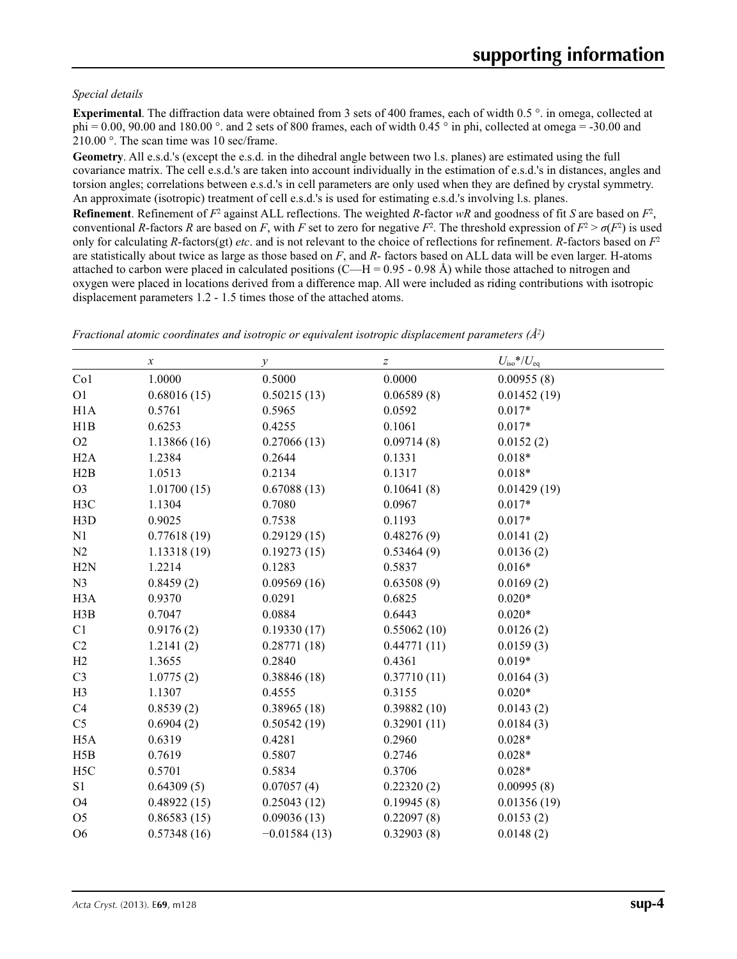### *Special details*

**Experimental**. The diffraction data were obtained from 3 sets of 400 frames, each of width 0.5 °. in omega, collected at phi = 0.00, 90.00 and 180.00 °. and 2 sets of 800 frames, each of width 0.45 ° in phi, collected at omega = -30.00 and 210.00 °. The scan time was 10 sec/frame.

**Geometry**. All e.s.d.'s (except the e.s.d. in the dihedral angle between two l.s. planes) are estimated using the full covariance matrix. The cell e.s.d.'s are taken into account individually in the estimation of e.s.d.'s in distances, angles and torsion angles; correlations between e.s.d.'s in cell parameters are only used when they are defined by crystal symmetry. An approximate (isotropic) treatment of cell e.s.d.'s is used for estimating e.s.d.'s involving l.s. planes.

**Refinement**. Refinement of  $F^2$  against ALL reflections. The weighted R-factor wR and goodness of fit *S* are based on  $F^2$ , conventional *R*-factors *R* are based on *F*, with *F* set to zero for negative  $F^2$ . The threshold expression of  $F^2 > \sigma(F^2)$  is used only for calculating *R*-factors(gt) *etc*. and is not relevant to the choice of reflections for refinement. *R*-factors based on *F*<sup>2</sup> are statistically about twice as large as those based on *F*, and *R*- factors based on ALL data will be even larger. H-atoms attached to carbon were placed in calculated positions  $(C-H = 0.95 - 0.98 \text{ Å})$  while those attached to nitrogen and oxygen were placed in locations derived from a difference map. All were included as riding contributions with isotropic displacement parameters 1.2 - 1.5 times those of the attached atoms.

|                  | $\boldsymbol{x}$ | y              | $\boldsymbol{Z}$ | $U_{\rm iso}$ */ $U_{\rm eq}$ |  |
|------------------|------------------|----------------|------------------|-------------------------------|--|
| Co1              | 1.0000           | 0.5000         | 0.0000           | 0.00955(8)                    |  |
| O <sub>1</sub>   | 0.68016(15)      | 0.50215(13)    | 0.06589(8)       | 0.01452(19)                   |  |
| H1A              | 0.5761           | 0.5965         | 0.0592           | $0.017*$                      |  |
| H1B              | 0.6253           | 0.4255         | 0.1061           | $0.017*$                      |  |
| O2               | 1.13866(16)      | 0.27066(13)    | 0.09714(8)       | 0.0152(2)                     |  |
| H2A              | 1.2384           | 0.2644         | 0.1331           | $0.018*$                      |  |
| H2B              | 1.0513           | 0.2134         | 0.1317           | $0.018*$                      |  |
| O <sub>3</sub>   | 1.01700(15)      | 0.67088(13)    | 0.10641(8)       | 0.01429(19)                   |  |
| H3C              | 1.1304           | 0.7080         | 0.0967           | $0.017*$                      |  |
| H3D              | 0.9025           | 0.7538         | 0.1193           | $0.017*$                      |  |
| N1               | 0.77618(19)      | 0.29129(15)    | 0.48276(9)       | 0.0141(2)                     |  |
| N2               | 1.13318(19)      | 0.19273(15)    | 0.53464(9)       | 0.0136(2)                     |  |
| H2N              | 1.2214           | 0.1283         | 0.5837           | $0.016*$                      |  |
| N <sub>3</sub>   | 0.8459(2)        | 0.09569(16)    | 0.63508(9)       | 0.0169(2)                     |  |
| H <sub>3</sub> A | 0.9370           | 0.0291         | 0.6825           | $0.020*$                      |  |
| H3B              | 0.7047           | 0.0884         | 0.6443           | $0.020*$                      |  |
| C1               | 0.9176(2)        | 0.19330(17)    | 0.55062(10)      | 0.0126(2)                     |  |
| C2               | 1.2141(2)        | 0.28771(18)    | 0.44771(11)      | 0.0159(3)                     |  |
| H2               | 1.3655           | 0.2840         | 0.4361           | $0.019*$                      |  |
| C <sub>3</sub>   | 1.0775(2)        | 0.38846(18)    | 0.37710(11)      | 0.0164(3)                     |  |
| H <sub>3</sub>   | 1.1307           | 0.4555         | 0.3155           | $0.020*$                      |  |
| C4               | 0.8539(2)        | 0.38965(18)    | 0.39882(10)      | 0.0143(2)                     |  |
| C <sub>5</sub>   | 0.6904(2)        | 0.50542(19)    | 0.32901(11)      | 0.0184(3)                     |  |
| H <sub>5</sub> A | 0.6319           | 0.4281         | 0.2960           | $0.028*$                      |  |
| H5B              | 0.7619           | 0.5807         | 0.2746           | $0.028*$                      |  |
| H <sub>5</sub> C | 0.5701           | 0.5834         | 0.3706           | $0.028*$                      |  |
| S <sub>1</sub>   | 0.64309(5)       | 0.07057(4)     | 0.22320(2)       | 0.00995(8)                    |  |
| O <sub>4</sub>   | 0.48922(15)      | 0.25043(12)    | 0.19945(8)       | 0.01356(19)                   |  |
| O <sub>5</sub>   | 0.86583(15)      | 0.09036(13)    | 0.22097(8)       | 0.0153(2)                     |  |
| O <sub>6</sub>   | 0.57348(16)      | $-0.01584(13)$ | 0.32903(8)       | 0.0148(2)                     |  |

*Fractional atomic coordinates and isotropic or equivalent isotropic displacement parameters (Å<sup>2</sup>)*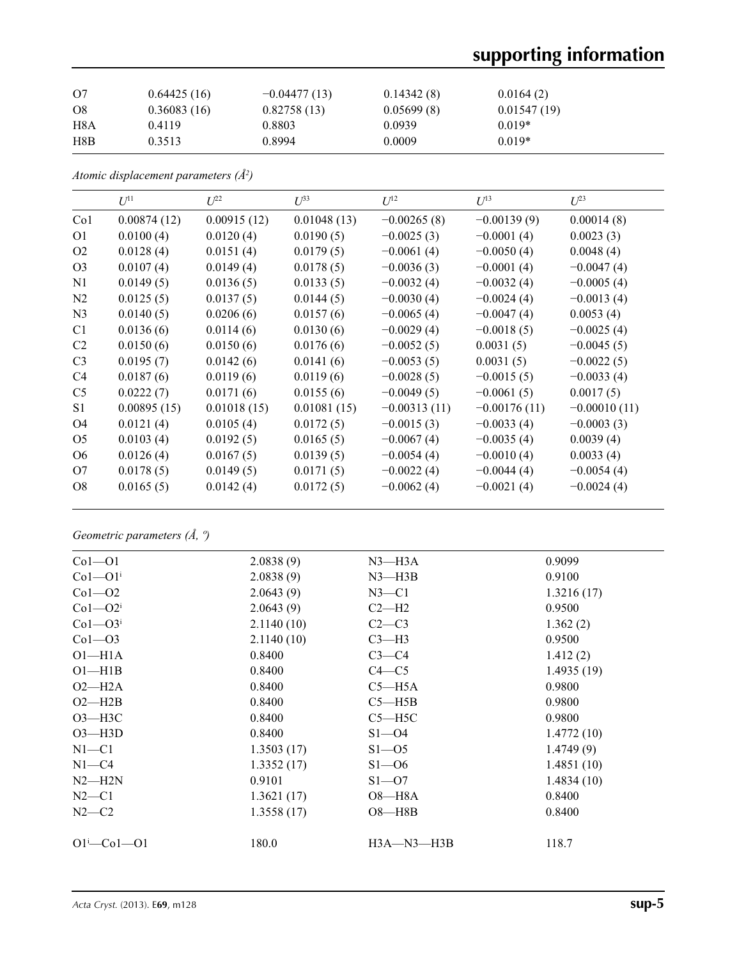# **supporting information**

| O7             | 0.64425(16) | $-0.04477(13)$ | 0.14342(8) | 0.0164(2)   |  |
|----------------|-------------|----------------|------------|-------------|--|
| O <sub>8</sub> | 0.36083(16) | 0.82758(13)    | 0.05699(8) | 0.01547(19) |  |
| H8A            | 0.4119      | 0.8803         | 0.0939     | $0.019*$    |  |
| H8B            | 0.3513      | 0.8994         | 0.0009     | $0.019*$    |  |

*Atomic displacement parameters (Å2 )*

|                 | $U^{11}$    | $L^{22}$    | $\mathcal{I}^{\beta 3}$ | $U^{12}$       | $U^{13}$       | $L^{23}$       |
|-----------------|-------------|-------------|-------------------------|----------------|----------------|----------------|
| Co <sub>1</sub> | 0.00874(12) | 0.00915(12) | 0.01048(13)             | $-0.00265(8)$  | $-0.00139(9)$  | 0.00014(8)     |
| O1              | 0.0100(4)   | 0.0120(4)   | 0.0190(5)               | $-0.0025(3)$   | $-0.0001(4)$   | 0.0023(3)      |
| O <sub>2</sub>  | 0.0128(4)   | 0.0151(4)   | 0.0179(5)               | $-0.0061(4)$   | $-0.0050(4)$   | 0.0048(4)      |
| O <sub>3</sub>  | 0.0107(4)   | 0.0149(4)   | 0.0178(5)               | $-0.0036(3)$   | $-0.0001(4)$   | $-0.0047(4)$   |
| N1              | 0.0149(5)   | 0.0136(5)   | 0.0133(5)               | $-0.0032(4)$   | $-0.0032(4)$   | $-0.0005(4)$   |
| N2              | 0.0125(5)   | 0.0137(5)   | 0.0144(5)               | $-0.0030(4)$   | $-0.0024(4)$   | $-0.0013(4)$   |
| N <sub>3</sub>  | 0.0140(5)   | 0.0206(6)   | 0.0157(6)               | $-0.0065(4)$   | $-0.0047(4)$   | 0.0053(4)      |
| C <sub>1</sub>  | 0.0136(6)   | 0.0114(6)   | 0.0130(6)               | $-0.0029(4)$   | $-0.0018(5)$   | $-0.0025(4)$   |
| C <sub>2</sub>  | 0.0150(6)   | 0.0150(6)   | 0.0176(6)               | $-0.0052(5)$   | 0.0031(5)      | $-0.0045(5)$   |
| C <sub>3</sub>  | 0.0195(7)   | 0.0142(6)   | 0.0141(6)               | $-0.0053(5)$   | 0.0031(5)      | $-0.0022(5)$   |
| C4              | 0.0187(6)   | 0.0119(6)   | 0.0119(6)               | $-0.0028(5)$   | $-0.0015(5)$   | $-0.0033(4)$   |
| C <sub>5</sub>  | 0.0222(7)   | 0.0171(6)   | 0.0155(6)               | $-0.0049(5)$   | $-0.0061(5)$   | 0.0017(5)      |
| S1              | 0.00895(15) | 0.01018(15) | 0.01081(15)             | $-0.00313(11)$ | $-0.00176(11)$ | $-0.00010(11)$ |
| O4              | 0.0121(4)   | 0.0105(4)   | 0.0172(5)               | $-0.0015(3)$   | $-0.0033(4)$   | $-0.0003(3)$   |
| O <sub>5</sub>  | 0.0103(4)   | 0.0192(5)   | 0.0165(5)               | $-0.0067(4)$   | $-0.0035(4)$   | 0.0039(4)      |
| O <sub>6</sub>  | 0.0126(4)   | 0.0167(5)   | 0.0139(5)               | $-0.0054(4)$   | $-0.0010(4)$   | 0.0033(4)      |
| O7              | 0.0178(5)   | 0.0149(5)   | 0.0171(5)               | $-0.0022(4)$   | $-0.0044(4)$   | $-0.0054(4)$   |
| O8              | 0.0165(5)   | 0.0142(4)   | 0.0172(5)               | $-0.0062(4)$   | $-0.0021(4)$   | $-0.0024(4)$   |

*Geometric parameters (Å, º)*

| 2.0838(9)  | $N3$ —H $3A$ | 0.9099     |
|------------|--------------|------------|
| 2.0838(9)  | $N3$ —H $3B$ | 0.9100     |
| 2.0643(9)  | $N3 - C1$    | 1.3216(17) |
| 2.0643(9)  | $C2-H2$      | 0.9500     |
| 2.1140(10) | $C2-C3$      | 1.362(2)   |
| 2.1140(10) | $C3-H3$      | 0.9500     |
| 0.8400     | $C3-C4$      | 1.412(2)   |
| 0.8400     | $C4 - C5$    | 1.4935(19) |
| 0.8400     | $C5 - H5A$   | 0.9800     |
| 0.8400     | $C5 - H5B$   | 0.9800     |
| 0.8400     | $C5 - H5C$   | 0.9800     |
| 0.8400     | $S1 - 04$    | 1.4772(10) |
| 1.3503(17) | $S1 - 05$    | 1.4749(9)  |
| 1.3352(17) | $S1 - 06$    | 1.4851(10) |
| 0.9101     | $S1 - 07$    | 1.4834(10) |
| 1.3621(17) | $O8 - H8A$   | 0.8400     |
| 1.3558(17) | $O8 - H8B$   | 0.8400     |
|            |              |            |
| 180.0      | $H3A-M3-H3B$ | 118.7      |
|            |              |            |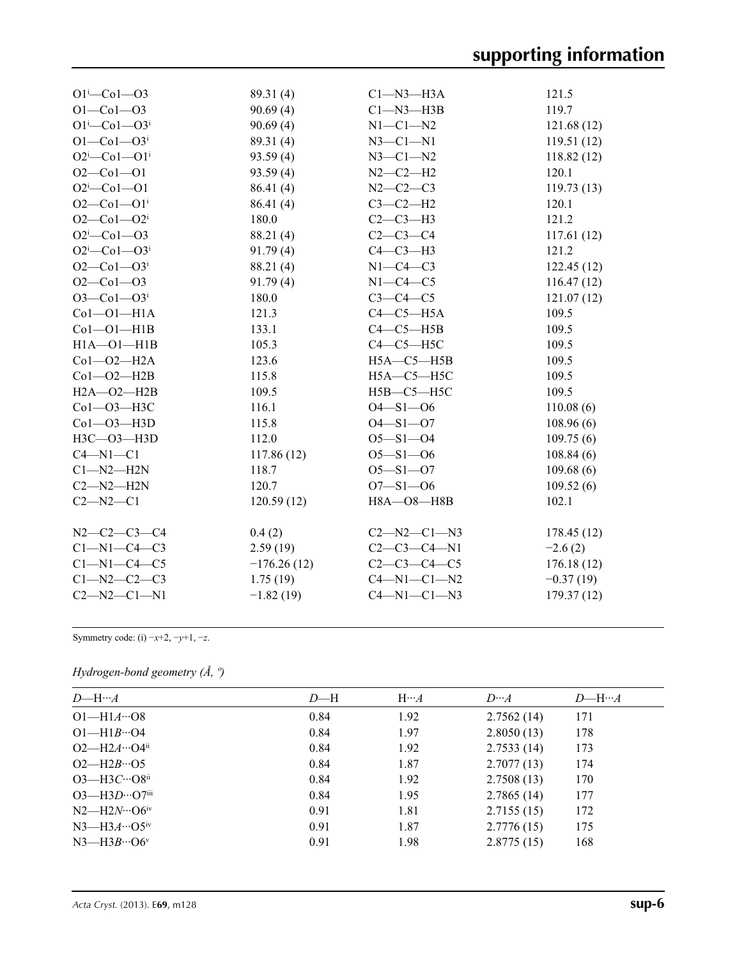| $O1 - Co1 - O3$                   | 89.31(4)      | $Cl-M3-H3A$         | 121.5       |
|-----------------------------------|---------------|---------------------|-------------|
| $O1 - Co1 - O3$                   | 90.69(4)      | $C1 - N3 - H3B$     | 119.7       |
| $O1^{i}$ -Co $1$ -O3 <sup>i</sup> | 90.69(4)      | $N1-C1-N2$          | 121.68(12)  |
| $O1 - Co1 - O3$ <sup>i</sup>      | 89.31(4)      | $N3 - C1 - N1$      | 119.51(12)  |
| $O2^i$ -Co $1$ -O $1^i$           | 93.59(4)      | $N3 - C1 - N2$      | 118.82(12)  |
| $O2 - Co1 - O1$                   | 93.59(4)      | $N2-C2-H2$          | 120.1       |
| $O2^i$ -Co1--O1                   | 86.41 (4)     | $N2 - C2 - C3$      | 119.73(13)  |
| $O2 - Co1 - O1$ <sup>i</sup>      | 86.41 (4)     | $C3-C2-H2$          | 120.1       |
| $O2$ – $Co1$ – $O2$ <sup>i</sup>  | 180.0         | $C2-C3-H3$          | 121.2       |
| $O2^i$ -Co1--O3                   | 88.21 (4)     | $C2-C3-C4$          | 117.61(12)  |
| $O2^{i}$ -Co1- $O3^{i}$           | 91.79(4)      | $C4-C3-H3$          | 121.2       |
| $O2 - Co1 - O3$ <sup>i</sup>      | 88.21 (4)     | $N1-C4-C3$          | 122.45(12)  |
| $O2 - Co1 - O3$                   | 91.79(4)      | $N1-C4-C5$          | 116.47(12)  |
| $O3 - Co1 - O3$ <sup>i</sup>      | 180.0         | $C3-C4-C5$          | 121.07(12)  |
| $Co1-O1-H1A$                      | 121.3         | $C4-C5-H5A$         | 109.5       |
| $Co1-O1-H1B$                      | 133.1         | $C4-C5-H5B$         | 109.5       |
| $H1A - O1 - H1B$                  | 105.3         | $C4-C5-H5C$         | 109.5       |
| $Co1-O2-H2A$                      | 123.6         | $H5A - C5 - H5B$    | 109.5       |
| $Co1-O2-H2B$                      | 115.8         | $H5A - C5 - H5C$    | 109.5       |
| $H2A - O2 - H2B$                  | 109.5         | $H5B - C5 - H5C$    | 109.5       |
| $Co1 - O3 - H3C$                  | 116.1         | $O4 - S1 - O6$      | 110.08(6)   |
| Co1-03-H3D                        | 115.8         | $O4 - S1 - O7$      | 108.96(6)   |
| H3C-03-H3D                        | 112.0         | $O5 - S1 - O4$      | 109.75(6)   |
| $C4 - N1 - C1$                    | 117.86(12)    | $O5 - S1 - O6$      | 108.84(6)   |
| $Cl-M2-H2N$                       | 118.7         | $O5 - S1 - O7$      | 109.68(6)   |
| $C2 - N2 - H2N$                   | 120.7         | $O7 - S1 - O6$      | 109.52(6)   |
| $C2 - N2 - C1$                    | 120.59(12)    | $H8A - O8 - H8B$    | 102.1       |
| $N2 - C2 - C3 - C4$               | 0.4(2)        | $C2 - N2 - C1 - N3$ | 178.45(12)  |
| $Cl-M1-C4-C3$                     | 2.59(19)      | $C2-C3-C4-N1$       | $-2.6(2)$   |
| $C1 - N1 - C4 - C5$               | $-176.26(12)$ | $C2 - C3 - C4 - C5$ | 176.18(12)  |
| $C1 - N2 - C2 - C3$               | 1.75(19)      | $C4 - N1 - C1 - N2$ | $-0.37(19)$ |
| $C2 - N2 - C1 - N1$               | $-1.82(19)$   | $C4 - N1 - C1 - N3$ | 179.37(12)  |

Symmetry code: (i) −*x*+2, −*y*+1, −*z*.

## *Hydrogen-bond geometry (Å, º)*

| $D$ —H… $A$                                     | $D-H$ | $H \cdots A$ | $D \cdots A$ | $D$ —H… $A$ |
|-------------------------------------------------|-------|--------------|--------------|-------------|
| $O1 - H1A \cdots O8$                            | 0.84  | 1.92         | 2.7562(14)   | 171         |
| $O1 - H1B \cdots O4$                            | 0.84  | 1.97         | 2.8050(13)   | 178         |
| $O2-H2A^{}O4^{ii}$                              | 0.84  | 1.92         | 2.7533(14)   | 173         |
| $O2 - H2B \cdot 05$                             | 0.84  | 1.87         | 2.7077(13)   | 174         |
| $O3$ —H $3C$ … $O8$ <sup>ii</sup>               | 0.84  | 1.92         | 2.7508(13)   | 170         |
| $O3$ —H $3D$ … $O7$ <sup>iii</sup>              | 0.84  | 1.95         | 2.7865(14)   | 177         |
| $N2$ —H2 $N \cdot \cdot \cdot$ O6 <sup>iv</sup> | 0.91  | 1.81         | 2.7155(15)   | 172         |
| $N3$ —H $3A$ …O5 <sup>iv</sup>                  | 0.91  | 1.87         | 2.7776(15)   | 175         |
| $N3$ —H $3B\cdots$ O6 <sup>v</sup>              | 0.91  | 1.98         | 2.8775(15)   | 168         |